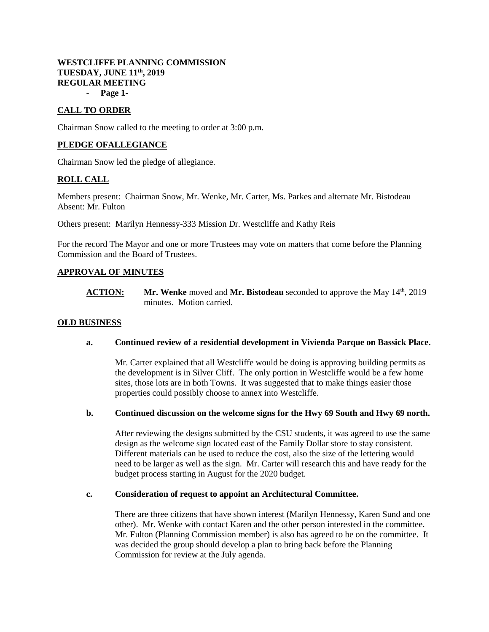# **WESTCLIFFE PLANNING COMMISSION TUESDAY, JUNE 11th, 2019 REGULAR MEETING**

- **Page 1-**

# **CALL TO ORDER**

Chairman Snow called to the meeting to order at 3:00 p.m.

# **PLEDGE OFALLEGIANCE**

Chairman Snow led the pledge of allegiance.

# **ROLL CALL**

Members present: Chairman Snow, Mr. Wenke, Mr. Carter, Ms. Parkes and alternate Mr. Bistodeau Absent: Mr. Fulton

Others present: Marilyn Hennessy-333 Mission Dr. Westcliffe and Kathy Reis

For the record The Mayor and one or more Trustees may vote on matters that come before the Planning Commission and the Board of Trustees.

# **APPROVAL OF MINUTES**

**ACTION:** Mr. Wenke moved and Mr. Bistodeau seconded to approve the May 14<sup>th</sup>, 2019 minutes. Motion carried.

# **OLD BUSINESS**

# **a. Continued review of a residential development in Vivienda Parque on Bassick Place.**

Mr. Carter explained that all Westcliffe would be doing is approving building permits as the development is in Silver Cliff. The only portion in Westcliffe would be a few home sites, those lots are in both Towns. It was suggested that to make things easier those properties could possibly choose to annex into Westcliffe.

#### **b. Continued discussion on the welcome signs for the Hwy 69 South and Hwy 69 north.**

After reviewing the designs submitted by the CSU students, it was agreed to use the same design as the welcome sign located east of the Family Dollar store to stay consistent. Different materials can be used to reduce the cost, also the size of the lettering would need to be larger as well as the sign. Mr. Carter will research this and have ready for the budget process starting in August for the 2020 budget.

#### **c. Consideration of request to appoint an Architectural Committee.**

There are three citizens that have shown interest (Marilyn Hennessy, Karen Sund and one other). Mr. Wenke with contact Karen and the other person interested in the committee. Mr. Fulton (Planning Commission member) is also has agreed to be on the committee. It was decided the group should develop a plan to bring back before the Planning Commission for review at the July agenda.